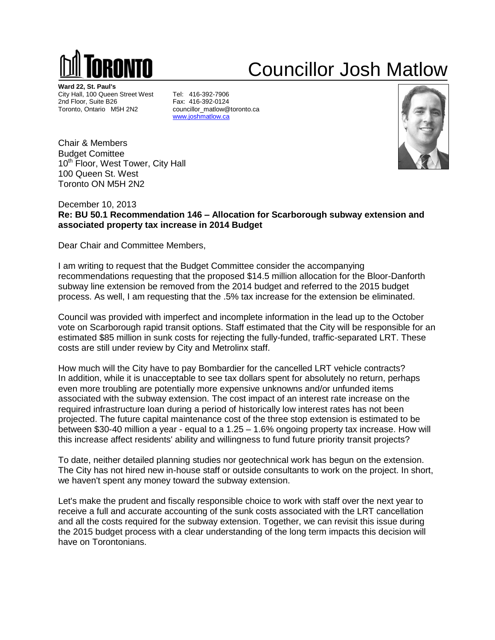

## Councillor Josh Matlow

**Ward 22, St. Paul's** City Hall, 100 Queen Street West Tel: 416-392-7906<br>2nd Floor, Suite B26 Fax: 416-392-0124 2nd Floor, Suite B26<br>Toronto, Ontario M5H 2N2

councillor\_matlow@toronto.ca [www.joshmatlow.ca](http://www.joshmatlow.ca/)



Chair & Members Budget Comittee 10<sup>th</sup> Floor, West Tower, City Hall 100 Queen St. West Toronto ON M5H 2N2

December 10, 2013 **Re: BU 50.1 Recommendation 146 – Allocation for Scarborough subway extension and associated property tax increase in 2014 Budget**

Dear Chair and Committee Members,

I am writing to request that the Budget Committee consider the accompanying recommendations requesting that the proposed \$14.5 million allocation for the Bloor-Danforth subway line extension be removed from the 2014 budget and referred to the 2015 budget process. As well, I am requesting that the .5% tax increase for the extension be eliminated.

Council was provided with imperfect and incomplete information in the lead up to the October vote on Scarborough rapid transit options. Staff estimated that the City will be responsible for an estimated \$85 million in sunk costs for rejecting the fully-funded, traffic-separated LRT. These costs are still under review by City and Metrolinx staff.

How much will the City have to pay Bombardier for the cancelled LRT vehicle contracts? In addition, while it is unacceptable to see tax dollars spent for absolutely no return, perhaps even more troubling are potentially more expensive unknowns and/or unfunded items associated with the subway extension. The cost impact of an interest rate increase on the required infrastructure loan during a period of historically low interest rates has not been projected. The future capital maintenance cost of the three stop extension is estimated to be between \$30-40 million a year - equal to a 1.25 – 1.6% ongoing property tax increase. How will this increase affect residents' ability and willingness to fund future priority transit projects?

To date, neither detailed planning studies nor geotechnical work has begun on the extension. The City has not hired new in-house staff or outside consultants to work on the project. In short, we haven't spent any money toward the subway extension.

Let's make the prudent and fiscally responsible choice to work with staff over the next year to receive a full and accurate accounting of the sunk costs associated with the LRT cancellation and all the costs required for the subway extension. Together, we can revisit this issue during the 2015 budget process with a clear understanding of the long term impacts this decision will have on Torontonians.